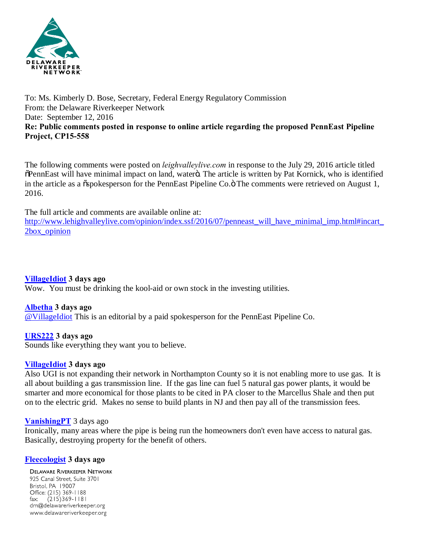

## To: Ms. Kimberly D. Bose, Secretary, Federal Energy Regulatory Commission From: the Delaware Riverkeeper Network Date: September 12, 2016 **Re: Public comments posted in response to online article regarding the proposed PennEast Pipeline Project, CP15-558**

The following comments were posted on *leighvalleylive.com* in response to the July 29, 2016 article titled  $\delta$ PennEast will have minimal impact on land, waterö. The article is written by Pat Kornick, who is identified in the article as a  $\tilde{\text{ospo}}$ kesperson for the PennEast Pipeline Co. $\ddot{\text{o}}$  The comments were retrieved on August 1, 2016.

The full article and comments are available online at:

[http://www.lehighvalleylive.com/opinion/index.ssf/2016/07/penneast\\_will\\_have\\_minimal\\_imp.html#incart\\_](http://www.lehighvalleylive.com/opinion/index.ssf/2016/07/penneast_will_have_minimal_imp.html) [2box\\_opinion](http://www.lehighvalleylive.com/opinion/index.ssf/2016/07/penneast_will_have_minimal_imp.html)

**[VillageIdiot](http://connect.lehighvalleylive.com/user/jnagurn/index.html) 3 days ago**

Wow. You must be drinking the kool-aid or own stock in the investing utilities.

## **[Albetha](http://connect.lehighvalleylive.com/user/Albetha/index.html) 3 days ago**

[@VillageIdiot](http://connect.lehighvalleylive.com/user/jnagurn/index.html) This is an editorial by a paid spokesperson for the PennEast Pipeline Co.

**[URS222](http://connect.lehighvalleylive.com/user/URS222/index.html) 3 days ago**

Sounds like everything they want you to believe.

## **[VillageIdiot](http://connect.lehighvalleylive.com/user/jnagurn/index.html) 3 days ago**

Also UGI is not expanding their network in Northampton County so it is not enabling more to use gas. It is all about building a gas transmission line. If the gas line can fuel 5 natural gas power plants, it would be smarter and more economical for those plants to be cited in PA closer to the Marcellus Shale and then put on to the electric grid. Makes no sense to build plants in NJ and then pay all of the transmission fees.

## **[VanishingPT](http://connect.lehighvalleylive.com/user/VanishingPT/index.html)** 3 days ago

Ironically, many areas where the pipe is being run the homeowners don't even have access to natural gas. Basically, destroying property for the benefit of others.

## **[Fleecologist](http://connect.lehighvalleylive.com/user/fleecidation/index.html) 3 days ago**

**DELAWARE RIVERKEEPER NETWORK** 925 Canal Street, Suite 3701 Bristol, PA 19007 Office: (215) 369-1188  $(215)369 - 1181$  $\mathsf{fax:}$ drn@delawareriverkeeper.org www.delawareriverkeeper.org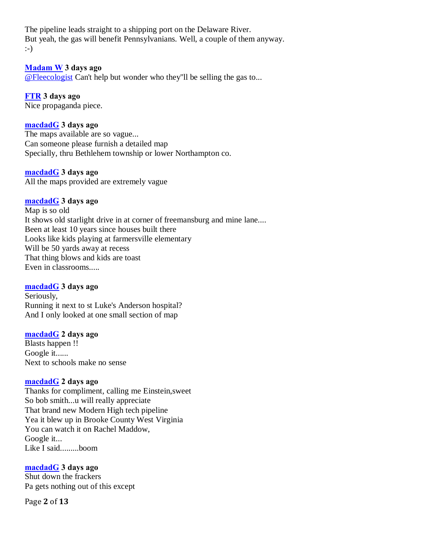The pipeline leads straight to a shipping port on the Delaware River. But yeah, the gas will benefit Pennsylvanians. Well, a couple of them anyway. :-)

## **[Madam W](http://connect.lehighvalleylive.com/user/Madam W/index.html) 3 days ago**

[@Fleecologist](http://connect.lehighvalleylive.com/user/fleecidation/index.html) Can't help but wonder who they''ll be selling the gas to...

## **[FTR](http://connect.lehighvalleylive.com/user/stapesPA/index.html) 3 days ago**

Nice propaganda piece.

## **[macdadG](http://connect.lehighvalleylive.com/user/macdadg/index.html) 3 days ago**

The maps available are so vague... Can someone please furnish a detailed map Specially, thru Bethlehem township or lower Northampton co.

## **[macdadG](http://connect.lehighvalleylive.com/user/macdadg/index.html) 3 days ago**

All the maps provided are extremely vague

## **[macdadG](http://connect.lehighvalleylive.com/user/macdadg/index.html) 3 days ago**

Map is so old It shows old starlight drive in at corner of freemansburg and mine lane.... Been at least 10 years since houses built there Looks like kids playing at farmersville elementary Will be 50 yards away at recess That thing blows and kids are toast Even in classrooms.....

## **[macdadG](http://connect.lehighvalleylive.com/user/macdadg/index.html) 3 days ago**

Seriously, Running it next to st Luke's Anderson hospital? And I only looked at one small section of map

## **[macdadG](http://connect.lehighvalleylive.com/user/macdadg/index.html) 2 days ago**

Blasts happen !! Google it...... Next to schools make no sense

## **[macdadG](http://connect.lehighvalleylive.com/user/macdadg/index.html) 2 days ago**

Thanks for compliment, calling me Einstein,sweet So bob smith...u will really appreciate That brand new Modern High tech pipeline Yea it blew up in Brooke County West Virginia You can watch it on Rachel Maddow, Google it... Like I said.........boom

## **[macdadG](http://connect.lehighvalleylive.com/user/macdadg/index.html) 3 days ago**

Shut down the frackers Pa gets nothing out of this except

Page **2** of **13**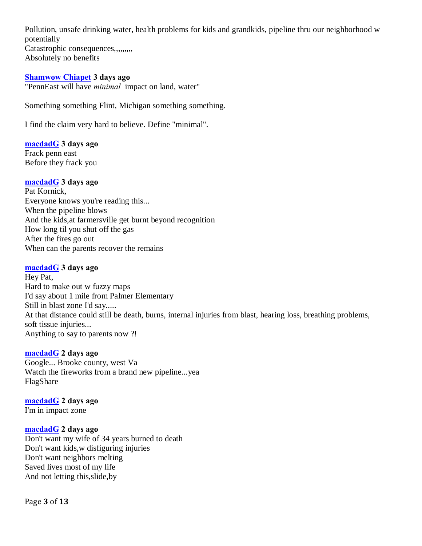Pollution, unsafe drinking water, health problems for kids and grandkids, pipeline thru our neighborhood w potentially Catastrophic consequences,,,,,,,,, Absolutely no benefits

## **[Shamwow Chiapet](http://connect.lehighvalleylive.com/user/Shamwow Chiapet/index.html) 3 days ago**

"PennEast will have *minimal* impact on land, water"

Something something Flint, Michigan something something.

I find the claim very hard to believe. Define "minimal".

## **[macdadG](http://connect.lehighvalleylive.com/user/macdadg/index.html) 3 days ago**

Frack penn east Before they frack you

## **[macdadG](http://connect.lehighvalleylive.com/user/macdadg/index.html) 3 days ago**

Pat Kornick, Everyone knows you're reading this... When the pipeline blows And the kids,at farmersville get burnt beyond recognition How long til you shut off the gas After the fires go out When can the parents recover the remains

## **[macdadG](http://connect.lehighvalleylive.com/user/macdadg/index.html) 3 days ago**

Hey Pat, Hard to make out w fuzzy maps I'd say about 1 mile from Palmer Elementary Still in blast zone I'd say..... At that distance could still be death, burns, internal injuries from blast, hearing loss, breathing problems, soft tissue injuries... Anything to say to parents now ?!

## **[macdadG](http://connect.lehighvalleylive.com/user/macdadg/index.html) 2 days ago**

Google... Brooke county, west Va Watch the fireworks from a brand new pipeline...yea FlagShare

## **[macdadG](http://connect.lehighvalleylive.com/user/macdadg/index.html) 2 days ago**

I'm in impact zone

## **[macdadG](http://connect.lehighvalleylive.com/user/macdadg/index.html) 2 days ago**

Don't want my wife of 34 years burned to death Don't want kids,w disfiguring injuries Don't want neighbors melting Saved lives most of my life And not letting this,slide,by

Page **3** of **13**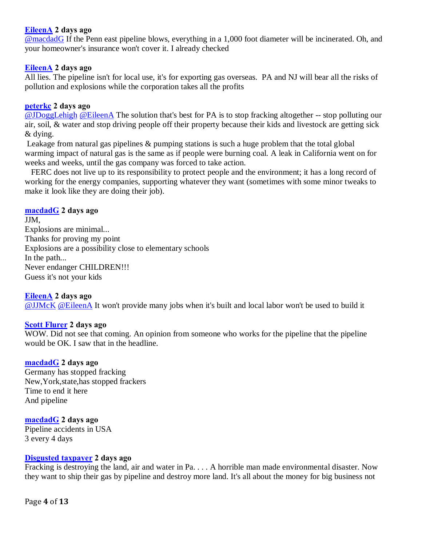## **[EileenA](http://connect.lehighvalleylive.com/user/EileenA/index.html) 2 days ago**

[@macdadG](http://connect.lehighvalleylive.com/user/macdadg/index.html) If the Penn east pipeline blows, everything in a 1,000 foot diameter will be incinerated. Oh, and your homeowner's insurance won't cover it. I already checked

## **[EileenA](http://connect.lehighvalleylive.com/user/EileenA/index.html) 2 days ago**

All lies. The pipeline isn't for local use, it's for exporting gas overseas. PA and NJ will bear all the risks of pollution and explosions while the corporation takes all the profits

## **[peterkc](http://connect.lehighvalleylive.com/user/peterkc1/index.html) 2 days ago**

[@JDoggLehigh](http://connect.lehighvalleylive.com/user/jeremy_kube/index.html) [@EileenA](http://connect.lehighvalleylive.com/user/EileenA/index.html) The solution that's best for PA is to stop fracking altogether -- stop polluting our air, soil, & water and stop driving people off their property because their kids and livestock are getting sick & dying.

Leakage from natural gas pipelines & pumping stations is such a huge problem that the total global warming impact of natural gas is the same as if people were burning coal. A leak in California went on for weeks and weeks, until the gas company was forced to take action.

FERC does not live up to its responsibility to protect people and the environment; it has a long record of working for the energy companies, supporting whatever they want (sometimes with some minor tweaks to make it look like they are doing their job).

## **[macdadG](http://connect.lehighvalleylive.com/user/macdadg/index.html) 2 days ago**

JJM, Explosions are minimal... Thanks for proving my point Explosions are a possibility close to elementary schools In the path... Never endanger CHILDREN!!! Guess it's not your kids

## **[EileenA](http://connect.lehighvalleylive.com/user/EileenA/index.html) 2 days ago**

[@JJMcK](http://connect.lehighvalleylive.com/user/JJMcK1/index.html) [@EileenA](http://connect.lehighvalleylive.com/user/EileenA/index.html) It won't provide many jobs when it's built and local labor won't be used to build it

## **[Scott Flurer](http://connect.lehighvalleylive.com/user/scott_flurer/index.html) 2 days ago**

WOW. Did not see that coming. An opinion from someone who works for the pipeline that the pipeline would be OK. I saw that in the headline.

#### **[macdadG](http://connect.lehighvalleylive.com/user/macdadg/index.html) 2 days ago**

Germany has stopped fracking New,York,state,has stopped frackers Time to end it here And pipeline

## **[macdadG](http://connect.lehighvalleylive.com/user/macdadg/index.html) 2 days ago**

Pipeline accidents in USA 3 every 4 days

#### **[Disgusted taxpayer](http://connect.lehighvalleylive.com/user/Disgusted taxpayer/index.html) 2 days ago**

Fracking is destroying the land, air and water in Pa. . . . A horrible man made environmental disaster. Now they want to ship their gas by pipeline and destroy more land. It's all about the money for big business not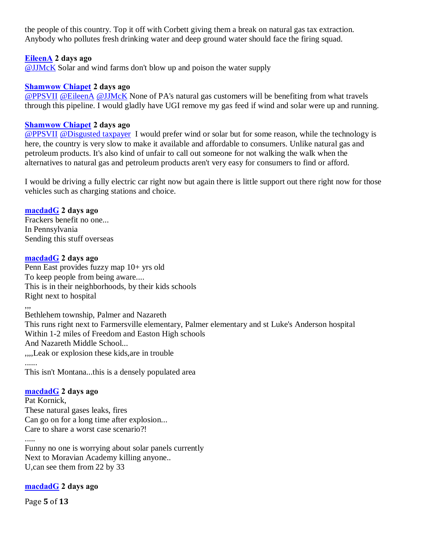the people of this country. Top it off with Corbett giving them a break on natural gas tax extraction. Anybody who pollutes fresh drinking water and deep ground water should face the firing squad.

## **[EileenA](http://connect.lehighvalleylive.com/user/EileenA/index.html) 2 days ago**

[@JJMcK](http://connect.lehighvalleylive.com/user/JJMcK1/index.html) Solar and wind farms don't blow up and poison the water supply

## **[Shamwow Chiapet](http://connect.lehighvalleylive.com/user/Shamwow Chiapet/index.html) 2 days ago**

[@PPSVII](http://connect.lehighvalleylive.com/user/pburg/index.html) [@EileenA](http://connect.lehighvalleylive.com/user/EileenA/index.html) [@JJMcK](http://connect.lehighvalleylive.com/user/JJMcK1/index.html) None of PA's natural gas customers will be benefiting from what travels through this pipeline. I would gladly have UGI remove my gas feed if wind and solar were up and running.

## **[Shamwow Chiapet](http://connect.lehighvalleylive.com/user/Shamwow Chiapet/index.html) 2 days ago**

[@PPSVII](http://connect.lehighvalleylive.com/user/pburg/index.html) [@Disgusted taxpayer](http://connect.lehighvalleylive.com/user/Disgusted taxpayer/index.html) I would prefer wind or solar but for some reason, while the technology is here, the country is very slow to make it available and affordable to consumers. Unlike natural gas and petroleum products. It's also kind of unfair to call out someone for not walking the walk when the alternatives to natural gas and petroleum products aren't very easy for consumers to find or afford.

I would be driving a fully electric car right now but again there is little support out there right now for those vehicles such as charging stations and choice.

## **[macdadG](http://connect.lehighvalleylive.com/user/macdadg/index.html) 2 days ago**

Frackers benefit no one... In Pennsylvania Sending this stuff overseas

## **[macdadG](http://connect.lehighvalleylive.com/user/macdadg/index.html) 2 days ago**

Penn East provides fuzzy map 10+ yrs old To keep people from being aware.... This is in their neighborhoods, by their kids schools Right next to hospital

,,, Bethlehem township, Palmer and Nazareth This runs right next to Farmersville elementary, Palmer elementary and st Luke's Anderson hospital Within 1-2 miles of Freedom and Easton High schools And Nazareth Middle School... ,,,,Leak or explosion these kids,are in trouble ...... This isn't Montana...this is a densely populated area

# **[macdadG](http://connect.lehighvalleylive.com/user/macdadg/index.html) 2 days ago**

Pat Kornick, These natural gases leaks, fires Can go on for a long time after explosion... Care to share a worst case scenario?!

.....

Funny no one is worrying about solar panels currently Next to Moravian Academy killing anyone.. U,can see them from 22 by 33

## **[macdadG](http://connect.lehighvalleylive.com/user/macdadg/index.html) 2 days ago**

Page **5** of **13**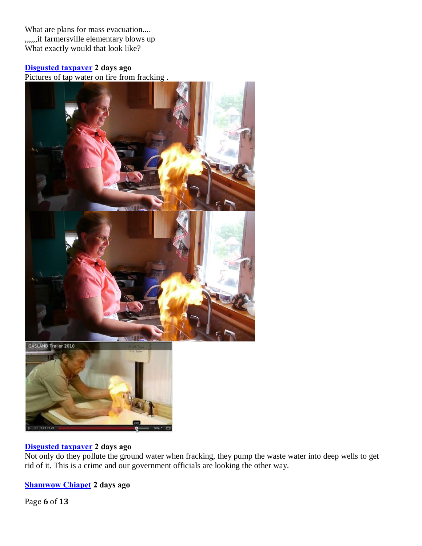What are plans for mass evacuation.... ,,,,,,if farmersville elementary blows up What exactly would that look like?

## **[Disgusted taxpayer](http://connect.lehighvalleylive.com/user/Disgusted taxpayer/index.html) 2 days ago**

Pictures of tap water on fire from fracking .



# **[Disgusted taxpayer](http://connect.lehighvalleylive.com/user/Disgusted taxpayer/index.html) 2 days ago**

Not only do they pollute the ground water when fracking, they pump the waste water into deep wells to get rid of it. This is a crime and our government officials are looking the other way.

**[Shamwow Chiapet](http://connect.lehighvalleylive.com/user/Shamwow Chiapet/index.html) 2 days ago**

Page **6** of **13**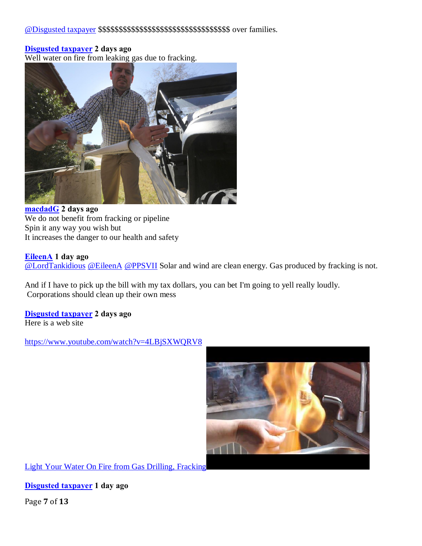## **[Disgusted taxpayer](http://connect.lehighvalleylive.com/user/Disgusted taxpayer/index.html) 2 days ago**

Well water on fire from leaking gas due to fracking.



**[macdadG](http://connect.lehighvalleylive.com/user/macdadg/index.html) 2 days ago** We do not benefit from fracking or pipeline Spin it any way you wish but It increases the danger to our health and safety

#### **[EileenA](http://connect.lehighvalleylive.com/user/EileenA/index.html) 1 day ago**

[@LordTankidious](http://connect.lehighvalleylive.com/user/ftomko3/index.html) [@EileenA](http://connect.lehighvalleylive.com/user/EileenA/index.html) [@PPSVII](http://connect.lehighvalleylive.com/user/pburg/index.html) Solar and wind are clean energy. Gas produced by fracking is not.

And if I have to pick up the bill with my tax dollars, you can bet I'm going to yell really loudly. Corporations should clean up their own mess

**[Disgusted taxpayer](http://connect.lehighvalleylive.com/user/Disgusted taxpayer/index.html) 2 days ago** Here is a web site

<https://www.youtube.com/watch?v=4LBjSXWQRV8>



Light Your Water On Fire from Gas Drilling, Fracking

**[Disgusted taxpayer](http://connect.lehighvalleylive.com/user/Disgusted taxpayer/index.html) 1 day ago**

Page **7** of **13**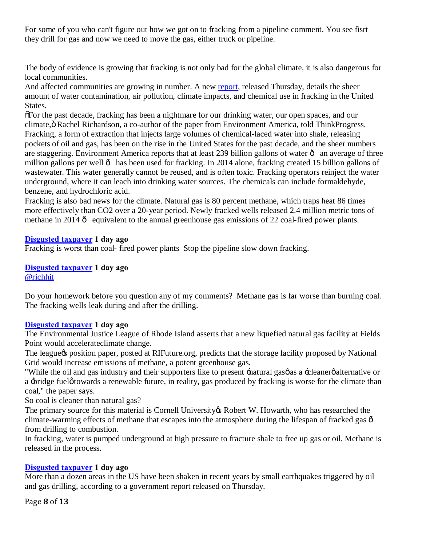For some of you who can't figure out how we got on to fracking from a pipeline comment. You see fisrt they drill for gas and now we need to move the gas, either truck or pipeline.

The body of evidence is growing that fracking is not only bad for the global climate, it is also dangerous for local communities.

And affected communities are growing in number. A new [report,](http://environmentamerica.org/sites/environment/files/reports/Fracking by the Numbers vUS.pdf) released Thursday, details the sheer amount of water contamination, air pollution, climate impacts, and chemical use in fracking in the United States.

"For the past decade, fracking has been a nightmare for our drinking water, our open spaces, and our climate,  $\ddot{o}$  Rachel Richardson, a co-author of the paper from Environment America, told ThinkProgress. Fracking, a form of extraction that injects large volumes of chemical-laced water into shale, releasing pockets of oil and gas, has been on the rise in the United States for the past decade, and the sheer numbers are staggering. Environment America reports that at least 239 billion gallons of water  $\hat{o}$  an average of three million gallons per well  $\hat{o}$  has been used for fracking. In 2014 alone, fracking created 15 billion gallons of wastewater. This water generally cannot be reused, and is often toxic. Fracking operators reinject the water underground, where it can leach into drinking water sources. The chemicals can include formaldehyde, benzene, and hydrochloric acid.

Fracking is also bad news for the climate. Natural gas is 80 percent methane, which traps heat 86 times more effectively than CO2 over a 20-year period. Newly fracked wells released 2.4 million metric tons of methane in 2014  $\hat{o}$  equivalent to the annual greenhouse gas emissions of 22 coal-fired power plants.

## **[Disgusted taxpayer](http://connect.lehighvalleylive.com/user/Disgusted taxpayer/index.html) 1 day ago**

Fracking is worst than coal- fired power plants Stop the pipeline slow down fracking.

**[Disgusted taxpayer](http://connect.lehighvalleylive.com/user/Disgusted taxpayer/index.html) 1 day ago** [@richhit](http://connect.lehighvalleylive.com/user/richhit/index.html)

Do your homework before you question any of my comments? Methane gas is far worse than burning coal. The fracking wells leak during and after the drilling.

## **[Disgusted taxpayer](http://connect.lehighvalleylive.com/user/Disgusted taxpayer/index.html) 1 day ago**

The Environmental Justice League of Rhode Island asserts that a new liquefied natural gas facility at Fields Point would accelerateclimate change.

The league the position paper, posted at RIFuture.org, predicts that the storage facility proposed by National Grid would increase emissions of methane, a potent greenhouse gas.

"While the oil and gas industry and their supporters like to present -natural gas  $\phi$  as a -cleaner  $\phi$  alternative or a -bridge fuel *o*towards a renewable future, in reality, gas produced by fracking is worse for the climate than coal," the paper says.

So coal is cleaner than natural gas?

The primary source for this material is Cornell University & Robert W. Howarth, who has researched the climate-warming effects of methane that escapes into the atmosphere during the lifespan of fracked gas  $\hat{o}$ from drilling to combustion.

In fracking, water is pumped underground at high pressure to fracture shale to free up gas or oil. Methane is released in the process.

## **[Disgusted taxpayer](http://connect.lehighvalleylive.com/user/Disgusted taxpayer/index.html) 1 day ago**

More than a dozen areas in the US have been shaken in recent years by small earthquakes triggered by oil and gas drilling, according to a government report released on Thursday.

Page **8** of **13**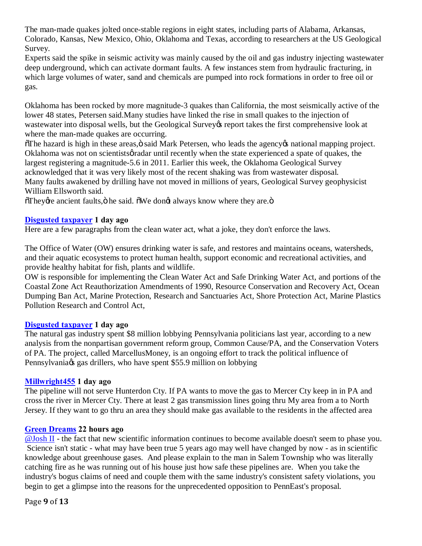The man-made quakes jolted once-stable regions in eight states, including parts of Alabama, Arkansas, Colorado, Kansas, New Mexico, Ohio, Oklahoma and Texas, according to researchers at the US Geological Survey.

Experts said the spike in seismic activity was mainly caused by the oil and gas industry injecting wastewater deep underground, which can activate dormant faults. A few instances stem from hydraulic fracturing, in which large volumes of water, sand and chemicals are pumped into rock formations in order to free oil or gas.

Oklahoma has been rocked by more magnitude-3 quakes than California, the most seismically active of the lower 48 states, Petersen said.Many studies have linked the rise in small quakes to the injection of wastewater into disposal wells, but the Geological Survey teport takes the first comprehensive look at where the man-made quakes are occurring.

 $\delta$ The hazard is high in these areas, $\ddot{o}$  said Mark Petersen, who leads the agency operational mapping project. Oklahoma was not on scientists *g* radar until recently when the state experienced a spate of quakes, the largest registering a magnitude-5.6 in 2011. Earlier this week, the Oklahoma Geological Survey acknowledged that it was very likely most of the recent shaking was from wastewater disposal. Many faults awakened by drilling have not moved in millions of years, Geological Survey geophysicist William Ellsworth said.

öThey *d*re ancient faults, ö he said. "O We don *d* always know where they are."

## **[Disgusted taxpayer](http://connect.lehighvalleylive.com/user/Disgusted taxpayer/index.html) 1 day ago**

Here are a few paragraphs from the clean water act, what a joke, they don't enforce the laws.

The Office of Water (OW) ensures drinking water is safe, and restores and maintains oceans, watersheds, and their aquatic ecosystems to protect human health, support economic and recreational activities, and provide healthy habitat for fish, plants and wildlife.

OW is responsible for implementing the Clean Water Act and Safe Drinking Water Act, and portions of the Coastal Zone Act Reauthorization Amendments of 1990, Resource Conservation and Recovery Act, Ocean Dumping Ban Act, Marine Protection, Research and Sanctuaries Act, Shore Protection Act, Marine Plastics Pollution Research and Control Act,

## **[Disgusted taxpayer](http://connect.lehighvalleylive.com/user/Disgusted taxpayer/index.html) 1 day ago**

The natural gas industry spent \$8 million lobbying Pennsylvania politicians last year, according to a new analysis from the nonpartisan government reform group, Common Cause/PA, and the Conservation Voters of PA. The project, called MarcellusMoney, is an ongoing effort to track the political influence of Pennsylvania $\alpha$  gas drillers, who have spent \$55.9 million on lobbying

## **[Millwright455](http://connect.lehighvalleylive.com/user/Millwright455/index.html) 1 day ago**

The pipeline will not serve Hunterdon Cty. If PA wants to move the gas to Mercer Cty keep in in PA and cross the river in Mercer Cty. There at least 2 gas transmission lines going thru My area from a to North Jersey. If they want to go thru an area they should make gas available to the residents in the affected area

## **[Green Dreams](http://connect.lehighvalleylive.com/user/SMeacham/index.html) 22 hours ago**

[@Josh II](http://connect.lehighvalleylive.com/user/jasper1/index.html) - the fact that new scientific information continues to become available doesn't seem to phase you. Science isn't static - what may have been true 5 years ago may well have changed by now - as in scientific knowledge about greenhouse gases. And please explain to the man in Salem Township who was literally catching fire as he was running out of his house just how safe these pipelines are. When you take the industry's bogus claims of need and couple them with the same industry's consistent safety violations, you begin to get a glimpse into the reasons for the unprecedented opposition to PennEast's proposal.

Page **9** of **13**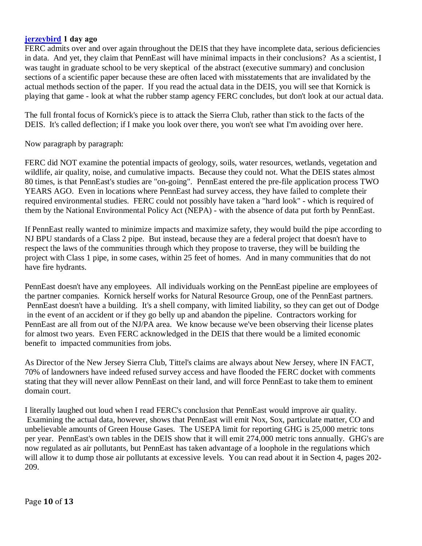## **[jerzeybird](http://connect.lehighvalleylive.com/user/jerzeybird/index.html) 1 day ago**

FERC admits over and over again throughout the DEIS that they have incomplete data, serious deficiencies in data. And yet, they claim that PennEast will have minimal impacts in their conclusions? As a scientist, I was taught in graduate school to be very skeptical of the abstract (executive summary) and conclusion sections of a scientific paper because these are often laced with misstatements that are invalidated by the actual methods section of the paper. If you read the actual data in the DEIS, you will see that Kornick is playing that game - look at what the rubber stamp agency FERC concludes, but don't look at our actual data.

The full frontal focus of Kornick's piece is to attack the Sierra Club, rather than stick to the facts of the DEIS. It's called deflection; if I make you look over there, you won't see what I'm avoiding over here.

Now paragraph by paragraph:

FERC did NOT examine the potential impacts of geology, soils, water resources, wetlands, vegetation and wildlife, air quality, noise, and cumulative impacts. Because they could not. What the DEIS states almost 80 times, is that PennEast's studies are "on-going". PennEast entered the pre-file application process TWO YEARS AGO. Even in locations where PennEast had survey access, they have failed to complete their required environmental studies. FERC could not possibly have taken a "hard look" - which is required of them by the National Environmental Policy Act (NEPA) - with the absence of data put forth by PennEast.

If PennEast really wanted to minimize impacts and maximize safety, they would build the pipe according to NJ BPU standards of a Class 2 pipe. But instead, because they are a federal project that doesn't have to respect the laws of the communities through which they propose to traverse, they will be building the project with Class 1 pipe, in some cases, within 25 feet of homes. And in many communities that do not have fire hydrants.

PennEast doesn't have any employees. All individuals working on the PennEast pipeline are employees of the partner companies. Kornick herself works for Natural Resource Group, one of the PennEast partners. PennEast doesn't have a building. It's a shell company, with limited liability, so they can get out of Dodge in the event of an accident or if they go belly up and abandon the pipeline. Contractors working for PennEast are all from out of the NJ/PA area. We know because we've been observing their license plates for almost two years. Even FERC acknowledged in the DEIS that there would be a limited economic benefit to impacted communities from jobs.

As Director of the New Jersey Sierra Club, Tittel's claims are always about New Jersey, where IN FACT, 70% of landowners have indeed refused survey access and have flooded the FERC docket with comments stating that they will never allow PennEast on their land, and will force PennEast to take them to eminent domain court.

I literally laughed out loud when I read FERC's conclusion that PennEast would improve air quality. Examining the actual data, however, shows that PennEast will emit Nox, Sox, particulate matter, CO and unbelievable amounts of Green House Gases. The USEPA limit for reporting GHG is 25,000 metric tons per year. PennEast's own tables in the DEIS show that it will emit 274,000 metric tons annually. GHG's are now regulated as air pollutants, but PennEast has taken advantage of a loophole in the regulations which will allow it to dump those air pollutants at excessive levels. You can read about it in Section 4, pages 202-209.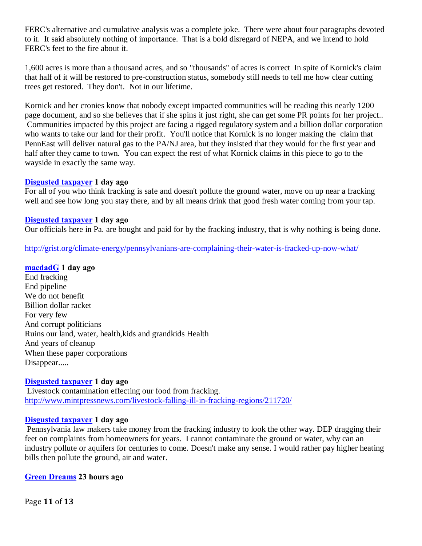FERC's alternative and cumulative analysis was a complete joke. There were about four paragraphs devoted to it. It said absolutely nothing of importance. That is a bold disregard of NEPA, and we intend to hold FERC's feet to the fire about it.

1,600 acres is more than a thousand acres, and so "thousands" of acres is correct In spite of Kornick's claim that half of it will be restored to pre-construction status, somebody still needs to tell me how clear cutting trees get restored. They don't. Not in our lifetime.

Kornick and her cronies know that nobody except impacted communities will be reading this nearly 1200 page document, and so she believes that if she spins it just right, she can get some PR points for her project.. Communities impacted by this project are facing a rigged regulatory system and a billion dollar corporation who wants to take our land for their profit. You'll notice that Kornick is no longer making the claim that PennEast will deliver natural gas to the PA/NJ area, but they insisted that they would for the first year and half after they came to town. You can expect the rest of what Kornick claims in this piece to go to the wayside in exactly the same way.

## **[Disgusted taxpayer](http://connect.lehighvalleylive.com/user/Disgusted taxpayer/index.html) 1 day ago**

For all of you who think fracking is safe and doesn't pollute the ground water, move on up near a fracking well and see how long you stay there, and by all means drink that good fresh water coming from your tap.

## **[Disgusted taxpayer](http://connect.lehighvalleylive.com/user/Disgusted taxpayer/index.html) 1 day ago**

Our officials here in Pa. are bought and paid for by the fracking industry, that is why nothing is being done.

<http://grist.org/climate-energy/pennsylvanians-are-complaining-their-water-is-fracked-up-now-what/>

**[macdadG](http://connect.lehighvalleylive.com/user/macdadg/index.html) 1 day ago** End fracking

End pipeline We do not benefit Billion dollar racket For very few And corrupt politicians Ruins our land, water, health,kids and grandkids Health And years of cleanup When these paper corporations Disappear.....

## **[Disgusted taxpayer](http://connect.lehighvalleylive.com/user/Disgusted taxpayer/index.html) 1 day ago**

Livestock contamination effecting our food from fracking. <http://www.mintpressnews.com/livestock-falling-ill-in-fracking-regions/211720/>

#### **[Disgusted taxpayer](http://connect.lehighvalleylive.com/user/Disgusted taxpayer/index.html) 1 day ago**

Pennsylvania law makers take money from the fracking industry to look the other way. DEP dragging their feet on complaints from homeowners for years. I cannot contaminate the ground or water, why can an industry pollute or aquifers for centuries to come. Doesn't make any sense. I would rather pay higher heating bills then pollute the ground, air and water.

## **[Green Dreams](http://connect.lehighvalleylive.com/user/SMeacham/index.html) 23 hours ago**

Page **11** of **13**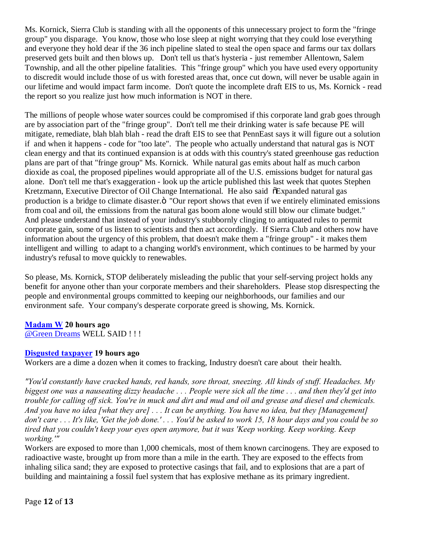Ms. Kornick, Sierra Club is standing with all the opponents of this unnecessary project to form the "fringe group" you disparage. You know, those who lose sleep at night worrying that they could lose everything and everyone they hold dear if the 36 inch pipeline slated to steal the open space and farms our tax dollars preserved gets built and then blows up. Don't tell us that's hysteria - just remember Allentown, Salem Township, and all the other pipeline fatalities. This "fringe group" which you have used every opportunity to discredit would include those of us with forested areas that, once cut down, will never be usable again in our lifetime and would impact farm income. Don't quote the incomplete draft EIS to us, Ms. Kornick - read the report so you realize just how much information is NOT in there.

The millions of people whose water sources could be compromised if this corporate land grab goes through are by association part of the "fringe group". Don't tell me their drinking water is safe because PE will mitigate, remediate, blah blah blah - read the draft EIS to see that PennEast says it will figure out a solution if and when it happens - code for "too late". The people who actually understand that natural gas is NOT clean energy and that its continued expansion is at odds with this country's stated greenhouse gas reduction plans are part of that "fringe group" Ms. Kornick. While natural gas emits about half as much carbon dioxide as coal, the proposed pipelines would appropriate all of the U.S. emissions budget for natural gas alone. Don't tell me that's exaggeration - look up the article published this last week that quotes Stephen Kretzmann, Executive Director of Oil Change International. He also said  $\delta$ Expanded natural gas production is a bridge to climate disaster. $\ddot{o}$  "Our report shows that even if we entirely eliminated emissions from coal and oil, the emissions from the natural gas boom alone would still blow our climate budget." And please understand that instead of your industry's stubbornly clinging to antiquated rules to permit corporate gain, some of us listen to scientists and then act accordingly. If Sierra Club and others now have information about the urgency of this problem, that doesn't make them a "fringe group" - it makes them intelligent and willing to adapt to a changing world's environment, which continues to be harmed by your industry's refusal to move quickly to renewables.

So please, Ms. Kornick, STOP deliberately misleading the public that your self-serving project holds any benefit for anyone other than your corporate members and their shareholders. Please stop disrespecting the people and environmental groups committed to keeping our neighborhoods, our families and our environment safe. Your company's desperate corporate greed is showing, Ms. Kornick.

## **[Madam W](http://connect.lehighvalleylive.com/user/Madam W/index.html) 20 hours ago**

[@Green Dreams](http://connect.lehighvalleylive.com/user/SMeacham/index.html) WELL SAID ! ! !

## **[Disgusted taxpayer](http://connect.lehighvalleylive.com/user/Disgusted taxpayer/index.html) 19 hours ago**

Workers are a dime a dozen when it comes to fracking, Industry doesn't care about their health.

*"You'd constantly have cracked hands, red hands, sore throat, sneezing. All kinds of stuff. Headaches. My biggest one was a nauseating dizzy headache . . . People were sick all the time . . . and then they'd get into trouble for calling off sick. You're in muck and dirt and mud and oil and grease and diesel and chemicals. And you have no idea [what they are] . . . It can be anything. You have no idea, but they [Management] don't care . . . It's like, 'Get the job done.' . . . You'd be asked to work 15, 18 hour days and you could be so tired that you couldn't keep your eyes open anymore, but it was 'Keep working. Keep working. Keep working.'"*

Workers are exposed to more than 1,000 chemicals, most of them known carcinogens. They are exposed to radioactive waste, brought up from more than a mile in the earth. They are exposed to the effects from inhaling silica sand; they are exposed to protective casings that fail, and to explosions that are a part of building and maintaining a fossil fuel system that has explosive methane as its primary ingredient.